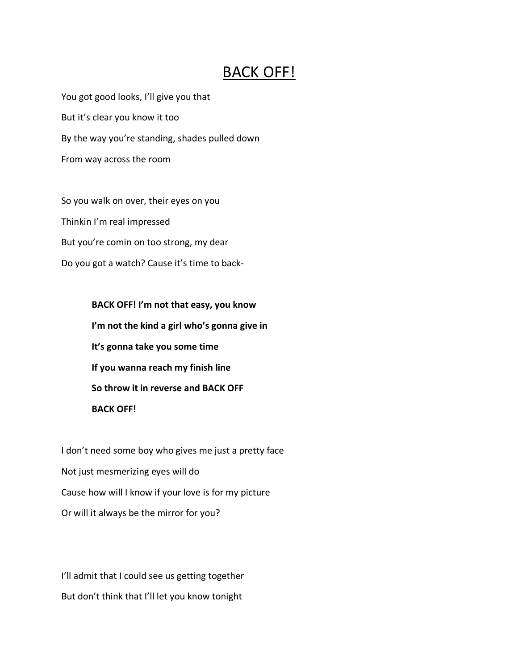## BACK OFF!

You got good looks, I'll give you that But it's clear you know it too By the way you're standing, shades pulled down From way across the room

So you walk on over, their eyes on you Thinkin I'm real impressed But you're comin on too strong, my dear Do you got a watch? Cause it's time to back-

> **BACK OFF! I'm not that easy, you know I'm not the kind a girl who's gonna give in It's gonna take you some time If you wanna reach my finish line So throw it in reverse and BACK OFF BACK OFF!**

I don't need some boy who gives me just a pretty face Not just mesmerizing eyes will do Cause how will I know if your love is for my picture Or will it always be the mirror for you?

I'll admit that I could see us getting together But don't think that I'll let you know tonight